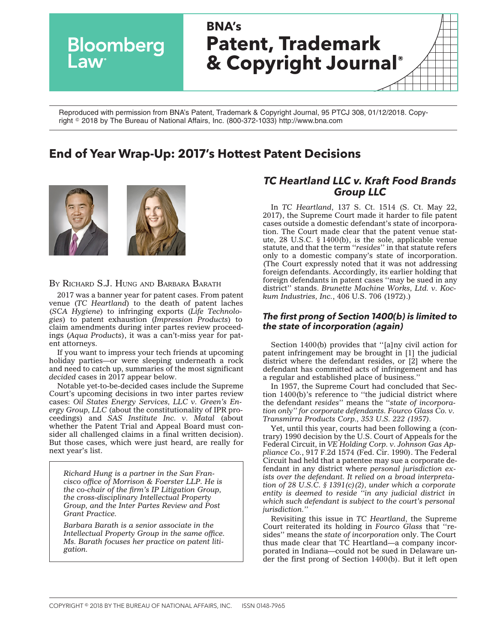

Reproduced with permission from BNA's Patent, Trademark & Copyright Journal, 95 PTCJ 308, 01/12/2018. Copyright - 2018 by The Bureau of National Affairs, Inc. (800-372-1033) http://www.bna.com

# **End of Year Wrap-Up: 2017's Hottest Patent Decisions**



#### BY RICHARD S.J. HUNG AND BARBARA BARATH

2017 was a banner year for patent cases. From patent venue (*TC Heartland*) to the death of patent laches (*SCA Hygiene*) to infringing exports (*Life Technologies*) to patent exhaustion (*Impression Products*) to claim amendments during inter partes review proceedings (*Aqua Products*), it was a can't-miss year for patent attorneys.

If you want to impress your tech friends at upcoming holiday parties—or were sleeping underneath a rock and need to catch up, summaries of the most significant *decided* cases in 2017 appear below.

Notable yet-to-be-decided cases include the Supreme Court's upcoming decisions in two inter partes review cases: *Oil States Energy Services, LLC v. Green's Energy Group, LLC* (about the constitutionality of IPR proceedings) and *SAS Institute Inc. v. Matal* (about whether the Patent Trial and Appeal Board must consider all challenged claims in a final written decision). But those cases, which were just heard, are really for next year's list.

*Richard Hung is a partner in the San Francisco office of Morrison & Foerster LLP. He is the co-chair of the firm's IP Litigation Group, the cross-disciplinary Intellectual Property Group, and the Inter Partes Review and Post Grant Practice.*

*Barbara Barath is a senior associate in the Intellectual Property Group in the same office. Ms. Barath focuses her practice on patent litigation.*

# *TC Heartland LLC v. Kraft Food Brands Group LLC*

In *[TC Heartland](http://www.bloomberglaw.com/public/document/TC_Heartland_LLC_v_Kraft_Foods_Group_Brands_LLC_No_16341_US_May_2/1?doc_id=X1HSNHOC0000N)*, 137 S. Ct. 1514 (S. Ct. May 22, 2017), the Supreme Court made it harder to file patent cases outside a domestic defendant's state of incorporation. The Court made clear that the patent venue statute, 28 U.S.C. § 1400(b), is the sole, applicable venue statute, and that the term ''*resides*'' in that statute refers only to a domestic company's state of incorporation. (The Court expressly noted that it was not addressing foreign defendants. Accordingly, its earlier holding that foreign defendants in patent cases ''may be sued in any district'' stands. *Brunette Machine Works, Ltd. v. Kockum Industries, Inc.*, 406 U.S. 706 (1972).)

### *The first prong of Section 1400(b) is limited to the state of incorporation (again)*

Section 1400(b) provides that ''[a]ny civil action for patent infringement may be brought in [1] the judicial district where the defendant resides, or [2] where the defendant has committed acts of infringement and has a regular and established place of business.''

In 1957, the Supreme Court had concluded that Section 1400(b)'s reference to ''the judicial district where the defendant *resides*'' means the ''*state of incorporation only'' for corporate defendants. Fourco Glass Co. v. Transmirra Products Corp., 353 U.S. 222 (1957).*

Yet, until this year, courts had been following a (contrary) 1990 decision by the U.S. Court of Appeals for the Federal Circuit, in *VE Holding Corp. v. Johnson Gas Appliance Co.*, 917 F.2d 1574 (Fed. Cir. 1990). The Federal Circuit had held that a patentee may sue a corporate defendant in any district where *personal jurisdiction exists over the defendant. It relied on a broad interpretation of 28 U.S.C. § 1391(c)(2), under which a corporate entity is deemed to reside ''in any judicial district in which such defendant is subject to the court's personal jurisdiction.''*

Revisiting this issue in *TC Heartland*, the Supreme Court reiterated its holding in *Fourco Glass* that ''resides'' means the *state of incorporation* only. The Court thus made clear that TC Heartland—a company incorporated in Indiana—could not be sued in Delaware under the first prong of Section 1400(b). But it left open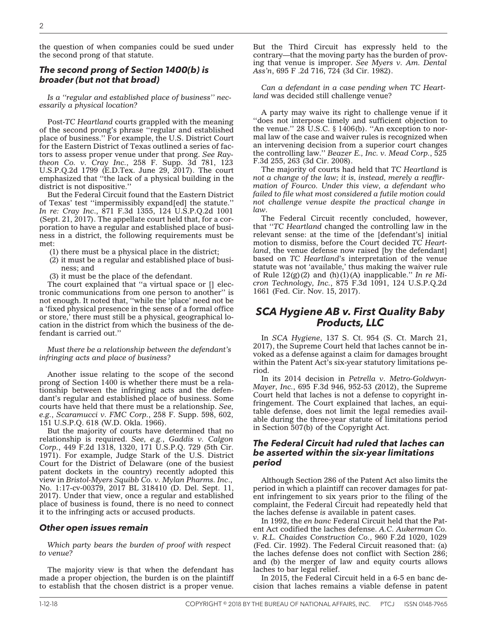the question of when companies could be sued under the second prong of that statute.

#### *The second prong of Section 1400(b) is broader (but not that broad)*

*Is a ''regular and established place of business'' necessarily a physical location?*

Post-*TC Heartland* courts grappled with the meaning of the second prong's phrase ''regular and established place of business.'' For example, the U.S. District Court for the Eastern District of Texas outlined a series of factors to assess proper venue under that prong. *See [Ray](http://www.bloomberglaw.com/public/document/Raytheon_Co_v_Cray_Inc_No_215CV01554JRG_2017_BL_225225_ED_Tex_Jun?doc_id=X9P05SA0000N)[theon Co. v. Cray Inc.](http://www.bloomberglaw.com/public/document/Raytheon_Co_v_Cray_Inc_No_215CV01554JRG_2017_BL_225225_ED_Tex_Jun?doc_id=X9P05SA0000N)*, 258 F. Supp. 3d 781, 123 U.S.P.Q.2d 1799 (E.D.Tex. June 29, 2017). The court emphasized that ''the lack of a physical building in the district is not dispositive.''

But the Federal Circuit found that the Eastern District of Texas' test ''impermissibly expand[ed] the statute.'' *[In re: Cray Inc](http://www.bloomberglaw.com/public/document/In_re_Cray_Inc_No_2017129_2017_BL_334363_Fed_Cir_Sept_21_2017_Cou?doc_id=XVIEV7S0000N)*., 871 F.3d 1355, 124 U.S.P.Q.2d 1001 (Sept. 21, 2017). The appellate court held that, for a corporation to have a regular and established place of business in a district, the following requirements must be met:

- (1) there must be a physical place in the district;
- (2) it must be a regular and established place of business; and
- (3) it must be the place of the defendant.

The court explained that ''a virtual space or [] electronic communications from one person to another'' is not enough. It noted that, ''while the 'place' need not be a 'fixed physical presence in the sense of a formal office or store,' there must still be a physical, geographical location in the district from which the business of the defendant is carried out.''

*Must there be a relationship between the defendant's infringing acts and place of business?*

Another issue relating to the scope of the second prong of Section 1400 is whether there must be a relationship between the infringing acts and the defendant's regular and established place of business. Some courts have held that there must be a relationship. *See, e.g.*, *[Scaramucci v. FMC Corp.](http://www.bloomberglaw.com/public/document/Scaramucci_v_FMC_Corp_258_F_Supp_598_151_USPQ_618_WD_Okla_1966_Co?doc_id=X4EMU0?jcsearch=258+f.supp.+598)*, 258 F. Supp. 598, 602, 151 U.S.P.Q. 618 (W.D. Okla. 1966).

But the majority of courts have determined that no relationship is required. *See, e.g.*, *[Gaddis v. Calgon](http://www.bloomberglaw.com/public/document/Gaddis_v_Calgon_Corp_449_F2d_1318_171_USPQ_729_5th_Cir_1971_Court?doc_id=X3TKFP?jcsearch=449+f+2d+1318) [Corp.](http://www.bloomberglaw.com/public/document/Gaddis_v_Calgon_Corp_449_F2d_1318_171_USPQ_729_5th_Cir_1971_Court?doc_id=X3TKFP?jcsearch=449+f+2d+1318)*, 449 F.2d 1318, 1320, 171 U.S.P.Q. 729 (5th Cir. 1971). For example, Judge Stark of the U.S. District Court for the District of Delaware (one of the busiest patent dockets in the country) recently adopted this view in *[Bristol-Myers Squibb Co. v. Mylan Pharms. Inc](http://www.bloomberglaw.com/public/document/BristolMyers_Squibb_Co_v_Mylan_Pharmas_Inc_No_17379LPS_2017_BL_31?doc_id=X195K71E0000N)*[.,](http://www.bloomberglaw.com/public/document/BristolMyers_Squibb_Co_v_Mylan_Pharmas_Inc_No_17379LPS_2017_BL_31?doc_id=X195K71E0000N) No. 1:17-cv-00379, 2017 BL 318410 (D. Del. Sept. 11, 2017). Under that view, once a regular and established place of business is found, there is no need to connect it to the infringing acts or accused products.

#### *Other open issues remain*

*Which party bears the burden of proof with respect to venue?*

The majority view is that when the defendant has made a proper objection, the burden is on the plaintiff to establish that the chosen district is a proper venue.

But the Third Circuit has expressly held to the contrary—that the moving party has the burden of proving that venue is improper. *See [Myers v. Am. Dental](http://www.bloomberglaw.com/public/document/Myers_v_Am_Dental_Assn_695_F2d_716_3d_Cir_1982_Court_Opinion?doc_id=X3UMRJ?jcsearch=695+f.+2d+716) [Ass'n](http://www.bloomberglaw.com/public/document/Myers_v_Am_Dental_Assn_695_F2d_716_3d_Cir_1982_Court_Opinion?doc_id=X3UMRJ?jcsearch=695+f.+2d+716)*, 695 F .2d 716, 724 (3d Cir. 1982).

*Can a defendant in a case pending when TC Heartland* was decided still challenge venue?

A party may waive its right to challenge venue if it ''does not interpose timely and sufficient objection to the venue." 28 U.S.C.  $\S 1406(b)$ . "An exception to normal law of the case and waiver rules is recognized when an intervening decision from a superior court changes the controlling law.'' *[Beazer E., Inc. v. Mead Corp.](http://www.bloomberglaw.com/public/document/Beazer_E_Inc_v_Mead_Corp_525_F3d_255_66_ERC_1577_3d_Cir_2008_Cour?doc_id=X18TH76003?jcsearch=+525+f+3d+255)*, 525 F.3d 255, 263 (3d Cir. 2008).

The majority of courts had held that *TC Heartland* is *not a change of the law; it is, instead, merely a reaffirmation of Fourco. Under this view, a defendant who failed to file what most considered a futile motion could not challenge venue despite the practical change in law.*

The Federal Circuit recently concluded, however, that ''*TC Heartland* changed the controlling law in the relevant sense: at the time of the [defendant's] initial motion to dismiss, before the Court decided *TC Heartland*, the venue defense now raised [by the defendant] based on *TC Heartland*'s interpretation of the venue statute was not 'available,' thus making the waiver rule of Rule 12(g)(2) and (h)(1)(A) inapplicable.'' *[In re Mi](http://www.bloomberglaw.com/public/document/In_re_Micron_Tech_Inc_No_2017138_2017_BL_409197_Fed_Cir_Nov_15_20?doc_id=X1426F6SG000N)[cron Technology, Inc.](http://www.bloomberglaw.com/public/document/In_re_Micron_Tech_Inc_No_2017138_2017_BL_409197_Fed_Cir_Nov_15_20?doc_id=X1426F6SG000N)*, 875 F.3d 1091, 124 U.S.P.Q.2d 1661 (Fed. Cir. Nov. 15, 2017).

# *SCA Hygiene AB v. First Quality Baby Products, LLC*

In *[SCA Hygiene](http://www.bloomberglaw.com/public/document/SCA_Hygiene_Prods_Aktiebolag_v_First_Quality_Baby_Prods_LLC_121_U?doc_id=X6I041JG000N)*, 137 S. Ct. 954 (S. Ct. March 21, 2017), the Supreme Court held that laches cannot be invoked as a defense against a claim for damages brought within the Patent Act's six-year statutory limitations period.

In its 2014 decision in *Petrella v. Metro-Goldwyn-Mayer, Inc.*, 695 F.3d 946, 952-53 (2012), the Supreme Court held that laches is not a defense to copyright infringement. The Court explained that laches, an equitable defense, does not limit the legal remedies available during the three-year statute of limitations period in Section 507(b) of the Copyright Act.

#### *The Federal Circuit had ruled that laches can be asserted within the six-year limitations period*

Although Section 286 of the Patent Act also limits the period in which a plaintiff can recover damages for patent infringement to six years prior to the filing of the complaint, the Federal Circuit had repeatedly held that the laches defense *is* available in patent cases.

In 1992, the *en banc* Federal Circuit held that the Patent Act codified the laches defense. *A.C. Aukerman Co. v. R.L. Chaides Construction Co.*, 960 F.2d 1020, 1029 (Fed. Cir. 1992). The Federal Circuit reasoned that: (a) the laches defense does not conflict with Section 286; and (b) the merger of law and equity courts allows laches to bar legal relief.

In 2015, the Federal Circuit held in a 6-5 en banc decision that laches remains a viable defense in patent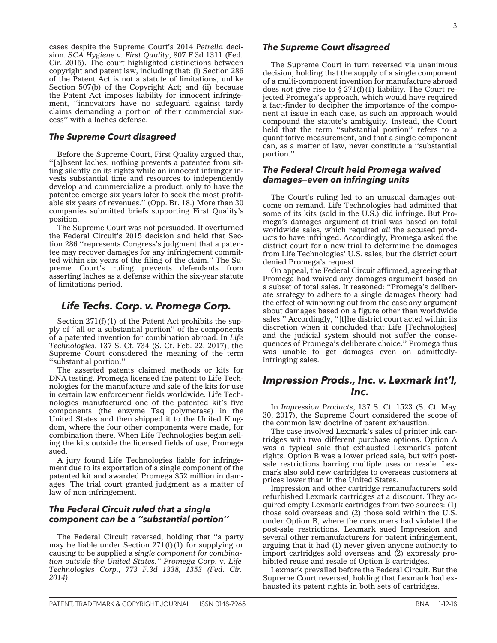cases despite the Supreme Court's 2014 *Petrella* decision. *SCA Hygiene v. First Quality*, 807 F.3d 1311 (Fed. Cir. 2015). The court highlighted distinctions between copyright and patent law, including that: (i) Section 286 of the Patent Act is not a statute of limitations, unlike Section 507(b) of the Copyright Act; and (ii) because the Patent Act imposes liability for innocent infringement, ''innovators have no safeguard against tardy claims demanding a portion of their commercial success'' with a laches defense.

#### *The Supreme Court disagreed*

Before the Supreme Court, First Quality argued that, ''[a]bsent laches, nothing prevents a patentee from sitting silently on its rights while an innocent infringer invests substantial time and resources to independently develop and commercialize a product, only to have the patentee emerge six years later to seek the most profitable six years of revenues.'' (Opp. Br. 18.) More than 30 companies submitted briefs supporting First Quality's position.

The Supreme Court was not persuaded. It overturned the Federal Circuit's 2015 decision and held that Section 286 ''represents Congress's judgment that a patentee may recover damages for any infringement committed within six years of the filing of the claim.'' The Supreme Court's ruling prevents defendants from asserting laches as a defense within the six-year statute of limitations period.

# *Life Techs. Corp. v. Promega Corp.*

Section  $271(f)(1)$  of the Patent Act prohibits the supply of ''all or a substantial portion'' of the components of a patented invention for combination abroad. In *[Life](http://www.bloomberglaw.com/public/document/Life_Techs_Corp_v_Promega_Corp_197_L_Ed_2d_33_121_USPQ2d_1641_85_?doc_id=X122Q66O0000N) [Technologies](http://www.bloomberglaw.com/public/document/Life_Techs_Corp_v_Promega_Corp_197_L_Ed_2d_33_121_USPQ2d_1641_85_?doc_id=X122Q66O0000N)*, 137 S. Ct. 734 (S. Ct. Feb. 22, 2017), the Supreme Court considered the meaning of the term ''substantial portion.''

The asserted patents claimed methods or kits for DNA testing. Promega licensed the patent to Life Technologies for the manufacture and sale of the kits for use in certain law enforcement fields worldwide. Life Technologies manufactured one of the patented kit's five components (the enzyme Taq polymerase) in the United States and then shipped it to the United Kingdom, where the four other components were made, for combination there. When Life Technologies began selling the kits outside the licensed fields of use, Promega sued.

A jury found Life Technologies liable for infringement due to its exportation of a single component of the patented kit and awarded Promega \$52 million in damages. The trial court granted judgment as a matter of law of non-infringement.

#### *The Federal Circuit ruled that a single component can be a ''substantial portion''*

The Federal Circuit reversed, holding that ''a party may be liable under Section  $271(f)(1)$  for supplying or causing to be supplied a *single component for combination outside the United States.'' Promega Corp. v. Life Technologies Corp., 773 F.3d 1338, 1353 (Fed. Cir. 2014).*

### *The Supreme Court disagreed*

The Supreme Court in turn reversed via unanimous decision, holding that the supply of a single component of a multi-component invention for manufacture abroad does *not* give rise to § 271(f)(1) liability. The Court rejected Promega's approach, which would have required a fact-finder to decipher the importance of the component at issue in each case, as such an approach would compound the statute's ambiguity. Instead, the Court held that the term ''substantial portion'' refers to a quantitative measurement, and that a single component can, as a matter of law, never constitute a ''substantial portion.''

#### *The Federal Circuit held Promega waived damages—even on infringing units*

The Court's ruling led to an unusual damages outcome on remand. Life Technologies had admitted that some of its kits (sold in the U.S.) did infringe. But Promega's damages argument at trial was based on total worldwide sales, which required *all* the accused products to have infringed. Accordingly, Promega asked the district court for a new trial to determine the damages from Life Technologies' U.S. sales, but the district court denied Promega's request.

On appeal, the Federal Circuit affirmed, agreeing that Promega had waived any damages argument based on a subset of total sales. It reasoned: ''Promega's deliberate strategy to adhere to a single damages theory had the effect of winnowing out from the case any argument about damages based on a figure other than worldwide sales.'' Accordingly, ''[t]he district court acted within its discretion when it concluded that Life [Technologies] and the judicial system should not suffer the consequences of Promega's deliberate choice.'' Promega thus was unable to get damages even on admittedlyinfringing sales.

## *Impression Prods., Inc. v. Lexmark Int'l, Inc.*

In *[Impression Products](http://www.bloomberglaw.com/public/document/Impression_Prods_Inc_v_Lexmark_Intl_Inc_137_S_Ct_1523_198_L_Ed_2d/1?doc_id=X1V8HJV5G000N)*, 137 S. Ct. 1523 (S. Ct. May 30, 2017), the Supreme Court considered the scope of the common law doctrine of patent exhaustion.

The case involved Lexmark's sales of printer ink cartridges with two different purchase options. Option A was a typical sale that exhausted Lexmark's patent rights. Option B was a lower priced sale, but with postsale restrictions barring multiple uses or resale. Lexmark also sold new cartridges to overseas customers at prices lower than in the United States.

Impression and other cartridge remanufacturers sold refurbished Lexmark cartridges at a discount. They acquired empty Lexmark cartridges from two sources: (1) those sold overseas and (2) those sold within the U.S. under Option B, where the consumers had violated the post-sale restrictions. Lexmark sued Impression and several other remanufacturers for patent infringement, arguing that it had (1) never given anyone authority to import cartridges sold overseas and (2) expressly prohibited reuse and resale of Option B cartridges.

Lexmark prevailed before the Federal Circuit. But the Supreme Court reversed, holding that Lexmark had exhausted its patent rights in both sets of cartridges.